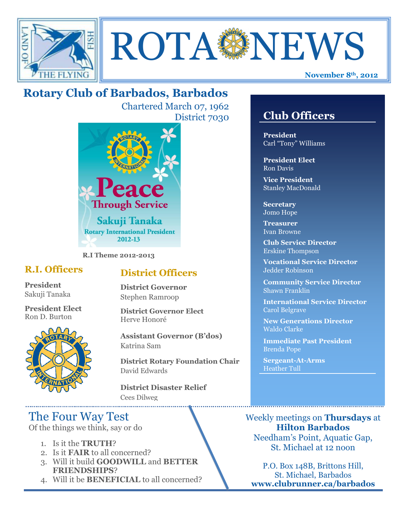



# **Rotary Club of Barbados, Barbados**

Chartered March 07, 1962 District 7030



**R.I Theme 2012-2013**

## **R.I. Officers**

**President**  Sakuji Tanaka

**President Elect** Ron D. Burton



## **District Officers**

**District Governor** Stephen Ramroop

**District Governor Elect** Herve Honoré

**Assistant Governor (B'dos)** Katrina Sam

**District Rotary Foundation Chair** David Edwards

**District Disaster Relief** Cees Dilweg

# The Four Way Test

Of the things we think, say or do

- 1. Is it the **TRUTH**?
- 2. Is it **FAIR** to all concerned?
- 3. Will it build **GOODWILL** and **BETTER FRIENDSHIPS**?
- 4. Will it be **BENEFICIAL** to all concerned?

## **Club Officers**

**Club Officers** 

**President** Carl "Tony" Williams

**President Elect** Ron Davis

**Vice President** Stanley MacDonald

**Secretary** Jomo Hope

**Treasurer** Ivan Browne

**Club Service Director** Erskine Thompson

**Vocational Service Director** Jedder Robinson

**Community Service Director** Shawn Franklin

**International Service Director** Carol Belgrave

**New Generations Director** Waldo Clarke

**Immediate Past President** Brenda Pope

**Sergeant-At-Arms** Heather Tull

Weekly meetings on **Thursdays** at **Hilton Barbados** Needham's Point, Aquatic Gap, St. Michael at 12 noon

P.O. Box 148B, Brittons Hill, St. Michael, Barbados **www.clubrunner.ca/barbados**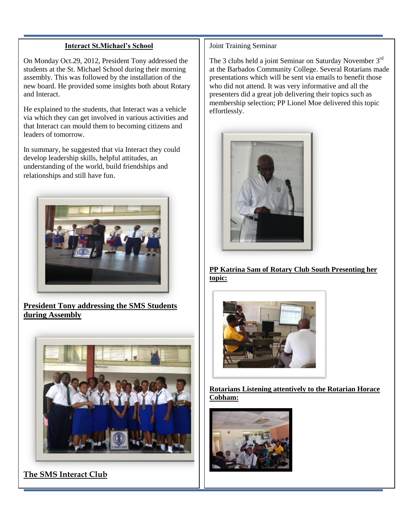#### **Interact St.Michael's School**

On Monday Oct.29, 2012, President Tony addressed the students at the St. Michael School during their morning assembly. This was followed by the installation of the new board. He provided some insights both about Rotary and Interact.

He explained to the students, that Interact was a vehicle via which they can get involved in various activities and that Interact can mould them to becoming citizens and leaders of tomorrow.

In summary, he suggested that via Interact they could develop leadership skills, helpful attitudes, an understanding of the world, build friendships and relationships and still have fun.



**President Tony addressing the SMS Students during Assembly**



**The SMS Interact Club**

#### Joint Training Seminar

The 3 clubs held a joint Seminar on Saturday November 3<sup>rd</sup> at the Barbados Community College. Several Rotarians made presentations which will be sent via emails to benefit those who did not attend. It was very informative and all the presenters did a great job delivering their topics such as membership selection; PP Lionel Moe delivered this topic effortlessly.



**PP Katrina Sam of Rotary Club South Presenting her topic:** 



**Rotarians Listening attentively to the Rotarian Horace Cobham:**

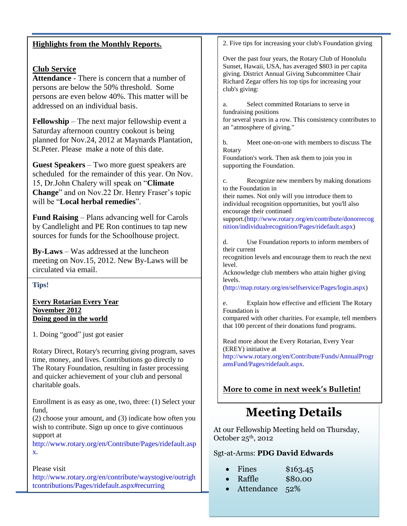| 2. Five tips for increasing your club's Foundation giving<br><b>Highlights from the Monthly Reports.</b><br>Over the past four years, the Rotary Club of Honolulu<br>Sunset, Hawaii, USA, has averaged \$803 in per capita<br><b>Club Service</b><br>giving. District Annual Giving Subcommittee Chair<br><b>Attendance</b> - There is concern that a number of<br>Richard Zegar offers his top tips for increasing your<br>persons are below the 50% threshold. Some<br>club's giving:<br>persons are even below 40%. This matter will be<br>Select committed Rotarians to serve in<br>addressed on an individual basis.<br>a.<br>fundraising positions<br>for several years in a row. This consistency contributes to<br><b>Fellowship</b> – The next major fellowship event a<br>an "atmosphere of giving."<br>Saturday afternoon country cookout is being<br>planned for Nov.24, 2012 at Maynards Plantation,<br>Meet one-on-one with members to discuss The<br>$\mathbf{b}$ . |  |
|------------------------------------------------------------------------------------------------------------------------------------------------------------------------------------------------------------------------------------------------------------------------------------------------------------------------------------------------------------------------------------------------------------------------------------------------------------------------------------------------------------------------------------------------------------------------------------------------------------------------------------------------------------------------------------------------------------------------------------------------------------------------------------------------------------------------------------------------------------------------------------------------------------------------------------------------------------------------------------|--|
|                                                                                                                                                                                                                                                                                                                                                                                                                                                                                                                                                                                                                                                                                                                                                                                                                                                                                                                                                                                    |  |
|                                                                                                                                                                                                                                                                                                                                                                                                                                                                                                                                                                                                                                                                                                                                                                                                                                                                                                                                                                                    |  |
| St. Peter. Please make a note of this date.<br>Rotary                                                                                                                                                                                                                                                                                                                                                                                                                                                                                                                                                                                                                                                                                                                                                                                                                                                                                                                              |  |
| Foundation's work. Then ask them to join you in<br><b>Guest Speakers</b> – Two more guest speakers are<br>supporting the Foundation.<br>scheduled for the remainder of this year. On Nov.<br>Recognize new members by making donations<br>c.<br>15, Dr.John Chalery will speak on "Climate<br>to the Foundation in<br>Change" and on Nov.22 Dr. Henry Fraser's topic<br>their names. Not only will you introduce them to<br>will be "Local herbal remedies".<br>individual recognition opportunities, but you'll also                                                                                                                                                                                                                                                                                                                                                                                                                                                              |  |
| encourage their continued<br><b>Fund Raising</b> – Plans advancing well for Carols<br>support.(http://www.rotary.org/en/contribute/donorrecog<br>by Candlelight and PE Ron continues to tap new<br>nition/individualrecognition/Pages/ridefault.aspx)<br>sources for funds for the Schoolhouse project.                                                                                                                                                                                                                                                                                                                                                                                                                                                                                                                                                                                                                                                                            |  |
| Use Foundation reports to inform members of<br>d.<br>their current<br><b>By-Laws</b> – Was addressed at the luncheon<br>recognition levels and encourage them to reach the next<br>meeting on Nov.15, 2012. New By-Laws will be<br>level.<br>circulated via email.<br>Acknowledge club members who attain higher giving                                                                                                                                                                                                                                                                                                                                                                                                                                                                                                                                                                                                                                                            |  |
| levels.<br>Tips!<br>(http://map.rotary.org/en/selfservice/Pages/login.aspx)                                                                                                                                                                                                                                                                                                                                                                                                                                                                                                                                                                                                                                                                                                                                                                                                                                                                                                        |  |
| <b>Every Rotarian Every Year</b><br>Explain how effective and efficient The Rotary<br>e.<br><b>November 2012</b><br>Foundation is<br>Doing good in the world<br>compared with other charities. For example, tell members<br>that 100 percent of their donations fund programs.                                                                                                                                                                                                                                                                                                                                                                                                                                                                                                                                                                                                                                                                                                     |  |
| 1. Doing "good" just got easier<br>Read more about the Every Rotarian, Every Year                                                                                                                                                                                                                                                                                                                                                                                                                                                                                                                                                                                                                                                                                                                                                                                                                                                                                                  |  |
| (EREY) initiative at<br>Rotary Direct, Rotary's recurring giving program, saves<br>http://www.rotary.org/en/Contribute/Funds/AnnualProgr<br>time, money, and lives. Contributions go directly to<br>amsFund/Pages/ridefault.aspx.<br>The Rotary Foundation, resulting in faster processing<br>and quicker achievement of your club and personal<br>charitable goals.                                                                                                                                                                                                                                                                                                                                                                                                                                                                                                                                                                                                               |  |
| More to come in next week's Bulletin!<br>Enrollment is as easy as one, two, three: (1) Select your                                                                                                                                                                                                                                                                                                                                                                                                                                                                                                                                                                                                                                                                                                                                                                                                                                                                                 |  |
| fund,<br><b>Meeting Details</b><br>$(2)$ choose your amount, and $(3)$ indicate how often you<br>wish to contribute. Sign up once to give continuous<br>At our Fellowship Meeting held on Thursday,<br>support at<br>$\Omega$ ctober 25 <sup>th</sup> 2012                                                                                                                                                                                                                                                                                                                                                                                                                                                                                                                                                                                                                                                                                                                         |  |

[http://www.rotary.org/en/Contribute/Pages/ridefault.asp](http://www.rotary.org/en/Contribute/Pages/ridefault.aspx) [x.](http://www.rotary.org/en/Contribute/Pages/ridefault.aspx)

#### Please visit

[http://www.rotary.org/en/contribute/waystogive/outrigh](http://www.rotary.org/en/contribute/waystogive/outrightcontributions/Pages/ridefault.aspx#recurring) [tcontributions/Pages/ridefault.aspx#recurring](http://www.rotary.org/en/contribute/waystogive/outrightcontributions/Pages/ridefault.aspx#recurring)

October  $25^{\circ}$ , 2012

### Sgt-at-Arms: **PDG David Edwards**

| Fines | \$163.45 |
|-------|----------|
|       |          |

- Raffle \$80.00
- Attendance 52%